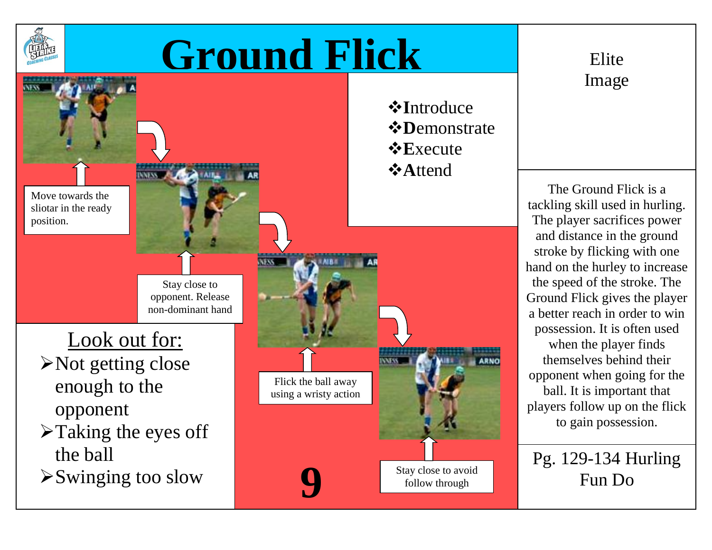

## **Ground Flick** Elite



Image

The Ground Flick is a tackling skill used in hurling. The player sacrifices power and distance in the ground stroke by flicking with one hand on the hurley to increase the speed of the stroke. The Ground Flick gives the player a better reach in order to win possession. It is often used when the player finds themselves behind their opponent when going for the ball. It is important that players follow up on the flick to gain possession.

Pg. 129-134 Hurling